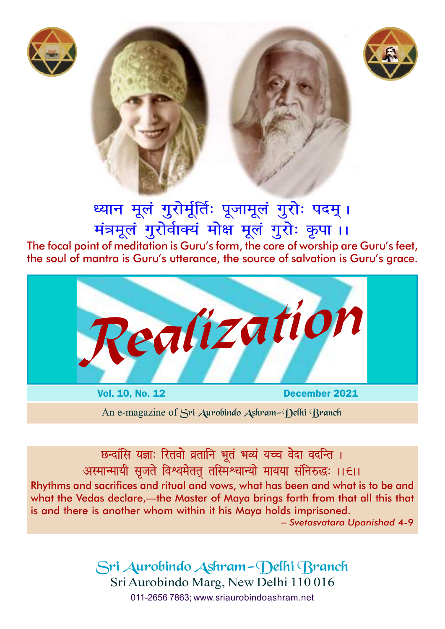





# ध्यान मूलं गुरोर्मूर्तिः पूजामूलं गुरोः पदम् । मंत्रमूलं गुरोर्वाक्यं मोक्ष मूलं गुरोः कृपा ।।

The focal point of meditation is Guru's form, the core of worship are Guru's feet, the soul of mantra is Guru's utterance, the source of salvation is Guru's grace.



An e-magazine of Sri Aurobindo Ashram-Delhi Branch

छन्दांसि यज्ञाः रितवो व्रतानि भूतं भव्यं यच्च वेदा वदन्ति । अस्मान्मायी सृजते विश्वमेततू तस्मिश्चान्यो मायया संनिरुद्धः ।। ६।। Rhythms and sacrifices and ritual and vows, what has been and what is to be and what the Vedas declare,—the Master of Maya brings forth from that all this that is and there is another whom within it his Maya holds imprisoned. – Svetasvatara Upanishad 4-9

> Sri Aurobindo Ashram-Delhi Branch Sri Aurobindo Marg, New Delhi 110 016 011-2656 7863; www.sriaurobindoashram.net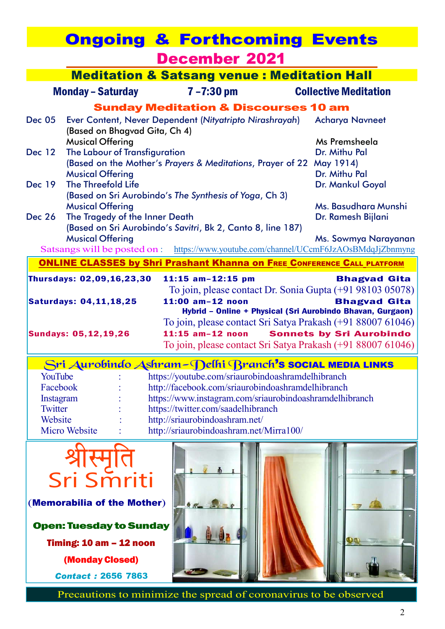|                                                                                                                                    |                                | <b>Ongoing &amp; Forthcoming Events</b>                                 |                                 |  |  |  |  |  |
|------------------------------------------------------------------------------------------------------------------------------------|--------------------------------|-------------------------------------------------------------------------|---------------------------------|--|--|--|--|--|
| <b>December 2021</b>                                                                                                               |                                |                                                                         |                                 |  |  |  |  |  |
| <b>Meditation &amp; Satsang venue: Meditation Hall</b>                                                                             |                                |                                                                         |                                 |  |  |  |  |  |
| <b>Monday - Saturday</b>                                                                                                           |                                | $7 - 7:30$ pm                                                           | <b>Collective Meditation</b>    |  |  |  |  |  |
| <b>Sunday Meditation &amp; Discourses 10 am</b>                                                                                    |                                |                                                                         |                                 |  |  |  |  |  |
| <b>Dec 05</b>                                                                                                                      | (Based on Bhagvad Gita, Ch 4)  | Ever Content, Never Dependent (Nityatripto Nirashrayah) Acharya Navneet |                                 |  |  |  |  |  |
|                                                                                                                                    | <b>Musical Offering</b>        |                                                                         | Ms Premsheela                   |  |  |  |  |  |
| <b>Dec 12</b>                                                                                                                      | The Labour of Transfiguration  |                                                                         | Dr. Mithu Pal                   |  |  |  |  |  |
|                                                                                                                                    |                                | (Based on the Mother's Prayers & Meditations, Prayer of 22 May 1914)    |                                 |  |  |  |  |  |
|                                                                                                                                    | <b>Musical Offering</b>        |                                                                         | Dr. Mithu Pal                   |  |  |  |  |  |
| <b>Dec 19</b>                                                                                                                      | The Threefold Life             |                                                                         | Dr. Mankul Goyal                |  |  |  |  |  |
|                                                                                                                                    |                                | (Based on Sri Aurobindo's The Synthesis of Yoga, Ch 3)                  |                                 |  |  |  |  |  |
|                                                                                                                                    | <b>Musical Offering</b>        |                                                                         | Ms. Basudhara Munshi            |  |  |  |  |  |
| <b>Dec 26</b>                                                                                                                      | The Tragedy of the Inner Death |                                                                         | Dr. Ramesh Bijlani              |  |  |  |  |  |
|                                                                                                                                    |                                | (Based on Sri Aurobindo's Savitri, Bk 2, Canto 8, line 187)             |                                 |  |  |  |  |  |
|                                                                                                                                    | <b>Musical Offering</b>        |                                                                         | Ms. Sowmya Narayanan            |  |  |  |  |  |
| Satsangs will be posted on: https://www.youtube.com/channel/UCcmF6JzAOsBMdqJjZbnmyng                                               |                                |                                                                         |                                 |  |  |  |  |  |
| <b>ONLINE CLASSES by Shri Prashant Khanna on FREE CONFERENCE CALL PLATFORM</b>                                                     |                                |                                                                         |                                 |  |  |  |  |  |
| Thursdays: 02,09,16,23,30<br>11:15 am-12:15 pm<br><b>Bhagvad Gita</b><br>To join, please contact Dr. Sonia Gupta (+91 98103 05078) |                                |                                                                         |                                 |  |  |  |  |  |
| <b>Saturdays: 04,11,18,25</b><br>11:00 am-12 noon<br><b>Bhagvad Gita</b>                                                           |                                |                                                                         |                                 |  |  |  |  |  |
| Hybrid - Online + Physical (Sri Aurobindo Bhavan, Gurgaon)                                                                         |                                |                                                                         |                                 |  |  |  |  |  |
| To join, please contact Sri Satya Prakash (+91 88007 61046)                                                                        |                                |                                                                         |                                 |  |  |  |  |  |
|                                                                                                                                    | <b>Sundays: 05,12,19,26</b>    | 11:15 am-12 noon                                                        | <b>Sonnets by Sri Aurobindo</b> |  |  |  |  |  |

|               |                             | $\mathbb{S}$ ri Aurobindo Ashram - Delhi Branch's social media Links |
|---------------|-----------------------------|----------------------------------------------------------------------|
| YouTube       |                             | https://youtube.com/sriaurobindoashramdelhibranch                    |
| Facebook      |                             | http://facebook.com/sriaurobindoashramdelhibranch                    |
| Instagram     | $\mathcal{L}$               | https://www.instagram.com/sriaurobindoashramdelhibranch              |
| Twitter       | ÷                           | https://twitter.com/saadelhibranch                                   |
| Website       | $\mathcal{L}^{\mathcal{L}}$ | http://sriaurobindoashram.net/                                       |
| Micro Website | $\pm$                       | http://sriaurobindoashram.net/Mirra100/                              |



(Memorabilia of the Mother)

Open: Tuesday to Sunday

Timing: 10 am – 12 noon

(Monday Closed)

**Contact: 2656 7863** 



To join, please contact Sri Satya Prakash (+91 88007 61046)

Precautions to minimize the spread of coronavirus to be observed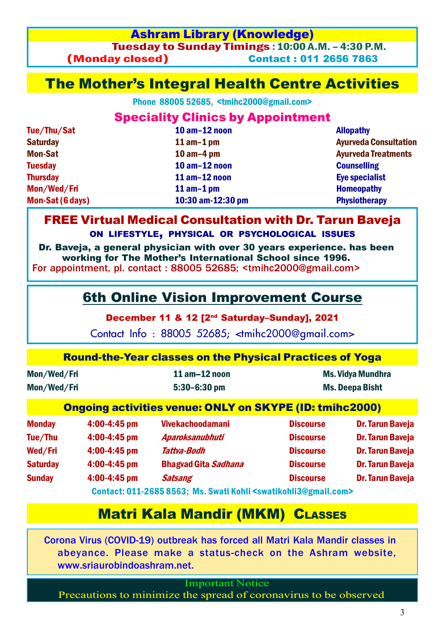Ashram Library (Knowledge) Tuesday to Sunday Timings : 10:00 A.M. - 4:30 P.M.<br>Contact : 011 2656 7863 (Monday closed) Contact : 011 2656 7863

## The Mother's Integral Health Centre Activities

Phone 88005 52685, <tmihc2000@gmail.com>

#### Speciality Clinics by Appointment

| Tue/Thu/Sat      | $10$ am- $12$ noon | <b>Allopathy</b>             |
|------------------|--------------------|------------------------------|
| <b>Saturday</b>  | 11 am $-1$ pm      | <b>Ayurveda Consultation</b> |
| <b>Mon-Sat</b>   | $10$ am-4 pm       | <b>Ayurveda Treatments</b>   |
| <b>Tuesday</b>   | 10 am-12 noon      | <b>Counselling</b>           |
| <b>Thursday</b>  | 11 am-12 noon      | <b>Eye specialist</b>        |
| Mon/Wed/Fri      | 11 am $-1$ pm      | <b>Homeopathy</b>            |
| Mon-Sat (6 days) | 10:30 am-12:30 pm  | <b>Physiotherapy</b>         |

### FREE Virtual Medical Consultation with Dr. Tarun Baveja ON LIFESTYLE, PHYSICAL OR PSYCHOLOGICAL ISSUES

Dr. Baveja, a general physician with over 30 years experience. has been working for The Mother's International School since 1996. For appointment, pl. contact : 88005 52685; <tmihc2000@gmail.com>

## 6th Online Vision Improvement Course

December 11 & 12 [2nd Saturday–Sunday], 2021

Contact Info : 88005 52685; <tmihc2000@gmail.com>

#### Round-the-Year classes on the Physical Practices of Yoga

Mon/Wed/Fri 11 am–12 noon Ms. Vidya Mundhra Mon/Wed/Fri 5:30–6:30 pm Ms. Deepa Bisht

#### Ongoing activities venue: ONLY on SKYPE (ID: tmihc2000)

| <b>Monday</b>   | 4:00-4:45 pm     | <b>Vivekachoodamani</b>     | <b>Discourse</b> | <b>Dr. Tarun Baveja</b> |
|-----------------|------------------|-----------------------------|------------------|-------------------------|
| Tue/Thu         | $4:00 - 4:45$ pm | Aparoksanubhuti             | <b>Discourse</b> | <b>Dr. Tarun Baveja</b> |
| Wed/Fri         | 4:00-4:45 pm     | Tattva-Bodh                 | <b>Discourse</b> | <b>Dr. Tarun Baveja</b> |
| <b>Saturday</b> | $4:00 - 4:45$ pm | <b>Bhagvad Gita Sadhana</b> | <b>Discourse</b> | <b>Dr. Tarun Baveja</b> |
| <b>Sunday</b>   | $4:00 - 4:45$ pm | <b>Satsang</b>              | <b>Discourse</b> | <b>Dr. Tarun Baveja</b> |
|                 |                  |                             |                  |                         |

Contact: 011-2685 8563; Ms. Swati Kohli <swatikohli3@gmail.com>

## Matri Kala Mandir (MKM) CLASSES

Corona Virus (COVID-19) outbreak has forced all Matri Kala Mandir classes in abeyance. Please make a status-check on the Ashram website, www.sriaurobindoashram.net.

Important Notice

Precautions to minimize the spread of coronavirus to be observed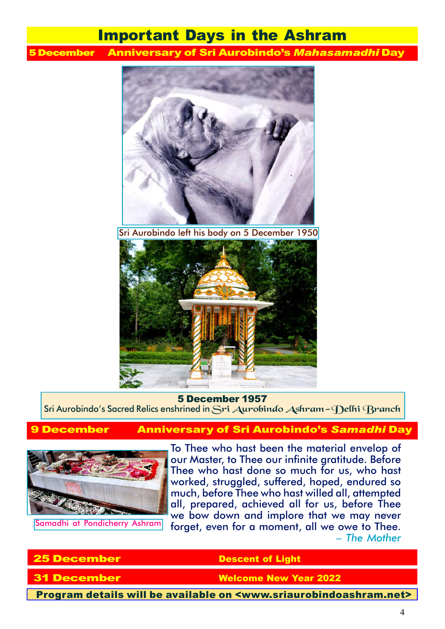## Important Days in the Ashram

5 December Anniversary of Sri Aurobindo's *Mahasamadhi* Day



Sri Aurobindo left his body on 5 December 1950



5 December 1957 Sri Aurobindo's Sacred Relics enshrined in Sri Aurobindo Ashram-Delhi Branch

### 9 December Anniversary of Sri Aurobindo's Samadhi Day



Samadhi at Pondicherry Ashram

To Thee who hast been the material envelop of our Master, to Thee our infinite gratitude. Before Thee who hast done so much for us, who hast worked, struggled, suffered, hoped, endured so much, before Thee who hast willed all, attempted all, prepared, achieved all for us, before Thee we bow down and implore that we may never

forget, even for a moment, all we owe to Thee. – The Mother

25 December **Descent of Light** 

#### **31 December Welcome New Year 2022**

Program details will be available on <www.sriaurobindoashram.net>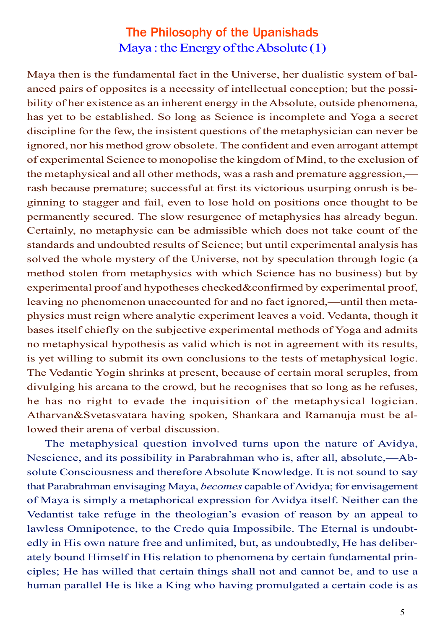## The Philosophy of the Upanishads Maya : the Energy of the Absolute (1)

Maya then is the fundamental fact in the Universe, her dualistic system of balanced pairs of opposites is a necessity of intellectual conception; but the possibility of her existence as an inherent energy in the Absolute, outside phenomena, has yet to be established. So long as Science is incomplete and Yoga a secret discipline for the few, the insistent questions of the metaphysician can never be ignored, nor his method grow obsolete. The confident and even arrogant attempt of experimental Science to monopolise the kingdom of Mind, to the exclusion of the metaphysical and all other methods, was a rash and premature aggression, rash because premature; successful at first its victorious usurping onrush is beginning to stagger and fail, even to lose hold on positions once thought to be permanently secured. The slow resurgence of metaphysics has already begun. Certainly, no metaphysic can be admissible which does not take count of the standards and undoubted results of Science; but until experimental analysis has solved the whole mystery of the Universe, not by speculation through logic (a method stolen from metaphysics with which Science has no business) but by experimental proof and hypotheses checked&confirmed by experimental proof, leaving no phenomenon unaccounted for and no fact ignored,—until then metaphysics must reign where analytic experiment leaves a void. Vedanta, though it bases itself chiefly on the subjective experimental methods of Yoga and admits no metaphysical hypothesis as valid which is not in agreement with its results, is yet willing to submit its own conclusions to the tests of metaphysical logic. The Vedantic Yogin shrinks at present, because of certain moral scruples, from divulging his arcana to the crowd, but he recognises that so long as he refuses, he has no right to evade the inquisition of the metaphysical logician. Atharvan&Svetasvatara having spoken, Shankara and Ramanuja must be allowed their arena of verbal discussion.

The metaphysical question involved turns upon the nature of Avidya, Nescience, and its possibility in Parabrahman who is, after all, absolute,—Absolute Consciousness and therefore Absolute Knowledge. It is not sound to say that Parabrahman envisaging Maya, becomes capable of Avidya; for envisagement of Maya is simply a metaphorical expression for Avidya itself. Neither can the Vedantist take refuge in the theologian's evasion of reason by an appeal to lawless Omnipotence, to the Credo quia Impossibile. The Eternal is undoubtedly in His own nature free and unlimited, but, as undoubtedly, He has deliberately bound Himself in His relation to phenomena by certain fundamental principles; He has willed that certain things shall not and cannot be, and to use a human parallel He is like a King who having promulgated a certain code is as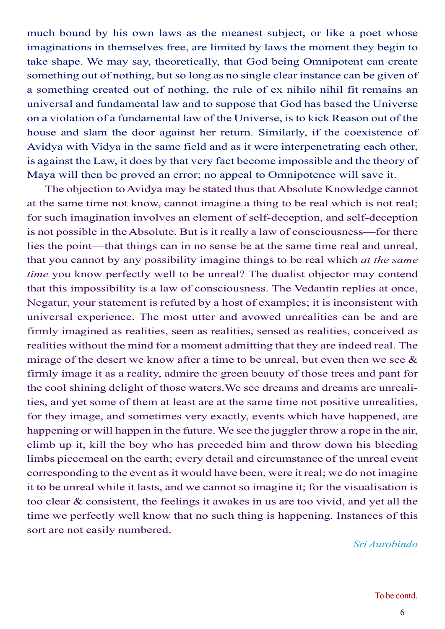much bound by his own laws as the meanest subject, or like a poet whose imaginations in themselves free, are limited by laws the moment they begin to take shape. We may say, theoretically, that God being Omnipotent can create something out of nothing, but so long as no single clear instance can be given of a something created out of nothing, the rule of ex nihilo nihil fit remains an universal and fundamental law and to suppose that God has based the Universe on a violation of a fundamental law of the Universe, is to kick Reason out of the house and slam the door against her return. Similarly, if the coexistence of Avidya with Vidya in the same field and as it were interpenetrating each other, is against the Law, it does by that very fact become impossible and the theory of Maya will then be proved an error; no appeal to Omnipotence will save it.

The objection to Avidya may be stated thus that Absolute Knowledge cannot at the same time not know, cannot imagine a thing to be real which is not real; for such imagination involves an element of self-deception, and self-deception is not possible in the Absolute. But is it really a law of consciousness—for there lies the point—that things can in no sense be at the same time real and unreal, that you cannot by any possibility imagine things to be real which at the same time you know perfectly well to be unreal? The dualist objector may contend that this impossibility is a law of consciousness. The Vedantin replies at once, Negatur, your statement is refuted by a host of examples; it is inconsistent with universal experience. The most utter and avowed unrealities can be and are firmly imagined as realities, seen as realities, sensed as realities, conceived as realities without the mind for a moment admitting that they are indeed real. The mirage of the desert we know after a time to be unreal, but even then we see  $\&$ firmly image it as a reality, admire the green beauty of those trees and pant for the cool shining delight of those waters.We see dreams and dreams are unrealities, and yet some of them at least are at the same time not positive unrealities, for they image, and sometimes very exactly, events which have happened, are happening or will happen in the future. We see the juggler throw a rope in the air, climb up it, kill the boy who has preceded him and throw down his bleeding limbs piecemeal on the earth; every detail and circumstance of the unreal event corresponding to the event as it would have been, were it real; we do not imagine it to be unreal while it lasts, and we cannot so imagine it; for the visualisation is too clear & consistent, the feelings it awakes in us are too vivid, and yet all the time we perfectly well know that no such thing is happening. Instances of this sort are not easily numbered.

– Sri Aurobindo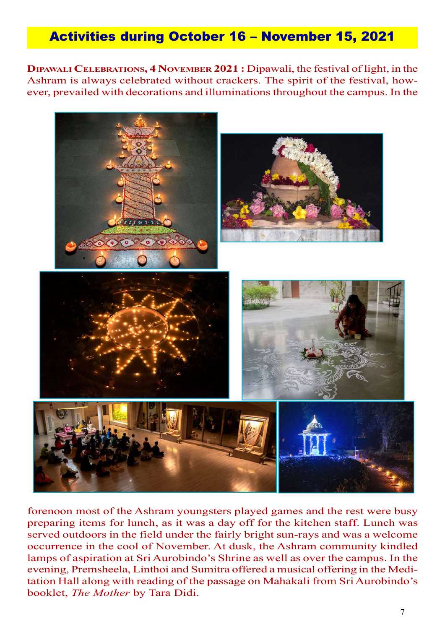## Activities during October 16 – November 15, 2021

DIPAWALI CELEBRATIONS, 4 NOVEMBER 2021 : Dipawali, the festival of light, in the Ashram is always celebrated without crackers. The spirit of the festival, however, prevailed with decorations and illuminations throughout the campus. In the



forenoon most of the Ashram youngsters played games and the rest were busy preparing items for lunch, as it was a day off for the kitchen staff. Lunch was served outdoors in the field under the fairly bright sun-rays and was a welcome occurrence in the cool of November. At dusk, the Ashram community kindled lamps of aspiration at Sri Aurobindo's Shrine as well as over the campus. In the evening, Premsheela, Linthoi and Sumitra offered a musical offering in the Meditation Hall along with reading of the passage on Mahakali from Sri Aurobindo's booklet, The Mother by Tara Didi.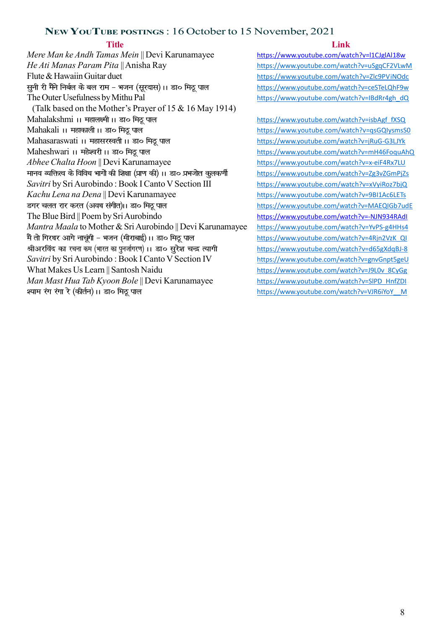#### NEW YOUTUBE POSTINGS : 16 October to 15 November, 2021

Mere Man ke Andh Tamas Mein || Devi Karunamayee He Ati Manas Param Pita || Anisha Ray Flute & Hawaiin Guitar duet सुनी री मैंने निर्बल के बल राम – भजन (सुरदास)।। डा० मिट्र पाल The Outer Usefulness by Mithu Pal (Talk based on the Mother's Prayer of 15 & 16 May 1914) Mahalakshmi ।। महालक्ष्मी ।। डा० मिट्र पाल Mahakali II महाकाली II डा० मिटू पाल Mahasaraswati ।। महासरस्वती ।। डा० मिठू पाल Maheshwari II महेश्वरी II डा० मिट्र पाल Abhee Chalta Hoon || Devi Karunamayee मानव व्यक्तित्व के विविध भागों की शिक्षा (प्राण की) ।। डा० प्रभजोत कूलकर्णी Savitri by Sri Aurobindo : Book I Canto V Section III Kachu Lena na Dena || Devi Karunamayee डगर चलत रार करत (अवध संगीत)।। डा० मिठू पाल The Blue Bird || Poem by Sri Aurobindo Mantra Maala to Mother & Sri Aurobindo || Devi Karunamayee मैं तो गिरधर आगे नाचूंगी - भजन (मीराबाई)।। डा**०** मिट्र पाल श्रीअरविंद का रचना कम (भारत का पुनर्जागरण)।। डा० सुरेश चन्द्र त्यागी Savitri by Sri Aurobindo : Book I Canto V Section IV What Makes Us Learn || Santosh Naidu Man Mast Hua Tab Kyoon Bole || Devi Karunamayee श्याम रंग रंगा रे (कीर्तन) ।। डा० मिट्र पाल

#### **Title** Link

https://www.youtube.com/watch?v=l1CJglAl18w https://www.youtube.com/watch?v=uSgqCF2VLwM https://www.youtube.com/watch?v=Zlc9PViNOdc https://www.youtube.com/watch?v=ceSTeLQhF9w https://www.youtube.com/watch?v=IBdRr4gh\_dQ

https://www.youtube.com/watch?v=isbAgf\_fXSQ https://www.youtube.com/watch?v=qsGQIysmsS0 https://www.youtube.com/watch?v=jRuG-G3LJYk https://www.youtube.com/watch?v=mH46FoquAhQ https://www.youtube.com/watch?v=x-eiF4Rx7LU https://www.youtube.com/watch?v=Zg3vZGmPjZs https://www.youtube.com/watch?v=xVyiRoz7bjQ https://www.youtube.com/watch?v=9BI1Ac6LETs https://www.youtube.com/watch?v=MAEQIGb7udE https://www.youtube.com/watch?v=-NJN934RAdI https://www.youtube.com/watch?v=YvPS-g4HHs4 https://www.youtube.com/watch?v=4Rjn2VzK\_QI https://www.youtube.com/watch?v=d65gXdqBJ-8 https://www.youtube.com/watch?v=gnvGnpt5geU https://www.youtube.com/watch?v=J9L0v\_8CyGg https://www.youtube.com/watch?v=SlPD\_HnfZDI https://www.youtube.com/watch?v=VJR6iYoY\_\_M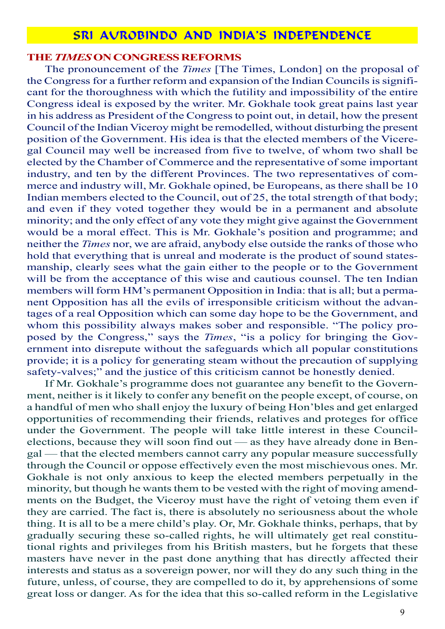### SRI AUROBINDO AND INDIA'S INDEPENDENCE

#### THE TIMES ON CONGRESS REFORMS

The pronouncement of the *Times* [The Times, London] on the proposal of the Congress for a further reform and expansion of the Indian Councils is significant for the thoroughness with which the futility and impossibility of the entire Congress ideal is exposed by the writer. Mr. Gokhale took great pains last year in his address as President of the Congress to point out, in detail, how the present Council of the Indian Viceroy might be remodelled, without disturbing the present position of the Government. His idea is that the elected members of the Viceregal Council may well be increased from five to twelve, of whom two shall be elected by the Chamber of Commerce and the representative of some important industry, and ten by the different Provinces. The two representatives of commerce and industry will, Mr. Gokhale opined, be Europeans, as there shall be 10 Indian members elected to the Council, out of 25, the total strength of that body; and even if they voted together they would be in a permanent and absolute minority; and the only effect of any vote they might give against the Government would be a moral effect. This is Mr. Gokhale's position and programme; and neither the Times nor, we are afraid, anybody else outside the ranks of those who hold that everything that is unreal and moderate is the product of sound statesmanship, clearly sees what the gain either to the people or to the Government will be from the acceptance of this wise and cautious counsel. The ten Indian members will form HM's permanent Opposition in India: that is all; but a permanent Opposition has all the evils of irresponsible criticism without the advantages of a real Opposition which can some day hope to be the Government, and whom this possibility always makes sober and responsible. "The policy proposed by the Congress," says the Times, "is a policy for bringing the Government into disrepute without the safeguards which all popular constitutions provide; it is a policy for generating steam without the precaution of supplying safety-valves;" and the justice of this criticism cannot be honestly denied.

If Mr. Gokhale's programme does not guarantee any benefit to the Government, neither is it likely to confer any benefit on the people except, of course, on a handful of men who shall enjoy the luxury of being Hon'bles and get enlarged opportunities of recommending their friends, relatives and proteges for office under the Government. The people will take little interest in these Councilelections, because they will soon find out — as they have already done in Bengal — that the elected members cannot carry any popular measure successfully through the Council or oppose effectively even the most mischievous ones. Mr. Gokhale is not only anxious to keep the elected members perpetually in the minority, but though he wants them to be vested with the right of moving amendments on the Budget, the Viceroy must have the right of vetoing them even if they are carried. The fact is, there is absolutely no seriousness about the whole thing. It is all to be a mere child's play. Or, Mr. Gokhale thinks, perhaps, that by gradually securing these so-called rights, he will ultimately get real constitutional rights and privileges from his British masters, but he forgets that these masters have never in the past done anything that has directly affected their interests and status as a sovereign power, nor will they do any such thing in the future, unless, of course, they are compelled to do it, by apprehensions of some great loss or danger. As for the idea that this so-called reform in the Legislative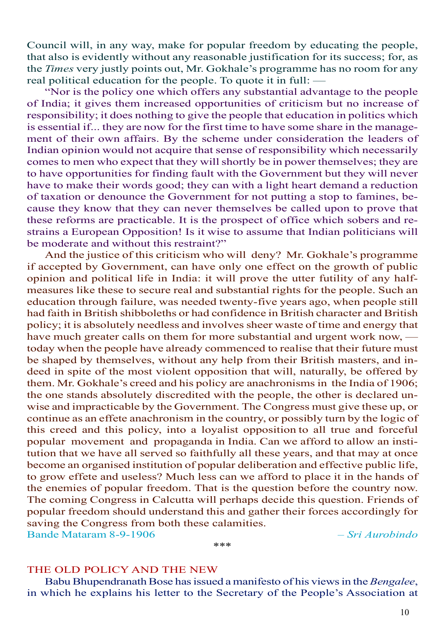Council will, in any way, make for popular freedom by educating the people, that also is evidently without any reasonable justification for its success; for, as the Times very justly points out, Mr. Gokhale's programme has no room for any real political education for the people. To quote it in full: —

"Nor is the policy one which offers any substantial advantage to the people of India; it gives them increased opportunities of criticism but no increase of responsibility; it does nothing to give the people that education in politics which is essential if... they are now for the first time to have some share in the management of their own affairs. By the scheme under consideration the leaders of Indian opinion would not acquire that sense of responsibility which necessarily comes to men who expect that they will shortly be in power themselves; they are to have opportunities for finding fault with the Government but they will never have to make their words good; they can with a light heart demand a reduction of taxation or denounce the Government for not putting a stop to famines, because they know that they can never themselves be called upon to prove that these reforms are practicable. It is the prospect of office which sobers and restrains a European Opposition! Is it wise to assume that Indian politicians will be moderate and without this restraint?"

And the justice of this criticism who will deny? Mr. Gokhale's programme if accepted by Government, can have only one effect on the growth of public opinion and political life in India: it will prove the utter futility of any halfmeasures like these to secure real and substantial rights for the people. Such an education through failure, was needed twenty-five years ago, when people still had faith in British shibboleths or had confidence in British character and British policy; it is absolutely needless and involves sheer waste of time and energy that have much greater calls on them for more substantial and urgent work now, today when the people have already commenced to realise that their future must be shaped by themselves, without any help from their British masters, and indeed in spite of the most violent opposition that will, naturally, be offered by them. Mr. Gokhale's creed and his policy are anachronisms in the India of 1906; the one stands absolutely discredited with the people, the other is declared unwise and impracticable by the Government. The Congress must give these up, or continue as an effete anachronism in the country, or possibly turn by the logic of this creed and this policy, into a loyalist opposition to all true and forceful popular movement and propaganda in India. Can we afford to allow an institution that we have all served so faithfully all these years, and that may at once become an organised institution of popular deliberation and effective public life, to grow effete and useless? Much less can we afford to place it in the hands of the enemies of popular freedom. That is the question before the country now. The coming Congress in Calcutta will perhaps decide this question. Friends of popular freedom should understand this and gather their forces accordingly for saving the Congress from both these calamities. Bande Mataram 8-9-1906 – Sri Aurobindo

#### THE OLD POLICY AND THE NEW

Babu Bhupendranath Bose has issued a manifesto of his views in the Bengalee, in which he explains his letter to the Secretary of the People's Association at

\*\*\*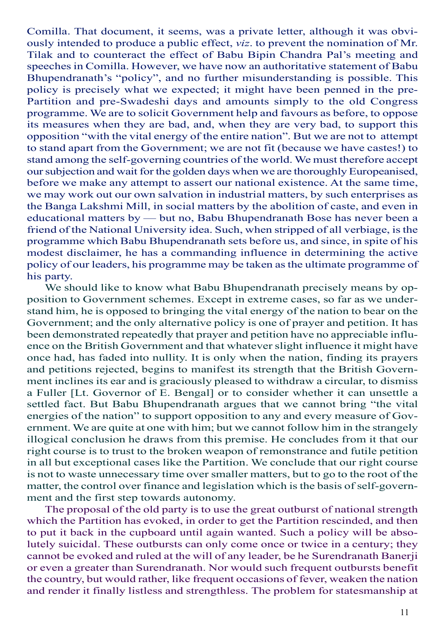Comilla. That document, it seems, was a private letter, although it was obviously intended to produce a public effect, viz. to prevent the nomination of Mr. Tilak and to counteract the effect of Babu Bipin Chandra Pal's meeting and speeches in Comilla. However, we have now an authoritative statement of Babu Bhupendranath's "policy", and no further misunderstanding is possible. This policy is precisely what we expected; it might have been penned in the pre-Partition and pre-Swadeshi days and amounts simply to the old Congress programme. We are to solicit Government help and favours as before, to oppose its measures when they are bad, and, when they are very bad, to support this opposition "with the vital energy of the entire nation". But we are not to attempt to stand apart from the Government; we are not fit (because we have castes!) to stand among the self-governing countries of the world. We must therefore accept our subjection and wait for the golden days when we are thoroughly Europeanised, before we make any attempt to assert our national existence. At the same time, we may work out our own salvation in industrial matters, by such enterprises as the Banga Lakshmi Mill, in social matters by the abolition of caste, and even in educational matters by — but no, Babu Bhupendranath Bose has never been a friend of the National University idea. Such, when stripped of all verbiage, is the programme which Babu Bhupendranath sets before us, and since, in spite of his modest disclaimer, he has a commanding influence in determining the active policy of our leaders, his programme may be taken as the ultimate programme of his party.

We should like to know what Babu Bhupendranath precisely means by opposition to Government schemes. Except in extreme cases, so far as we understand him, he is opposed to bringing the vital energy of the nation to bear on the Government; and the only alternative policy is one of prayer and petition. It has been demonstrated repeatedly that prayer and petition have no appreciable influence on the British Government and that whatever slight influence it might have once had, has faded into nullity. It is only when the nation, finding its prayers and petitions rejected, begins to manifest its strength that the British Government inclines its ear and is graciously pleased to withdraw a circular, to dismiss a Fuller [Lt. Governor of E. Bengal] or to consider whether it can unsettle a settled fact. But Babu Bhupendranath argues that we cannot bring "the vital energies of the nation" to support opposition to any and every measure of Government. We are quite at one with him; but we cannot follow him in the strangely illogical conclusion he draws from this premise. He concludes from it that our right course is to trust to the broken weapon of remonstrance and futile petition in all but exceptional cases like the Partition. We conclude that our right course is not to waste unnecessary time over smaller matters, but to go to the root of the matter, the control over finance and legislation which is the basis of self-government and the first step towards autonomy.

The proposal of the old party is to use the great outburst of national strength which the Partition has evoked, in order to get the Partition rescinded, and then to put it back in the cupboard until again wanted. Such a policy will be absolutely suicidal. These outbursts can only come once or twice in a century; they cannot be evoked and ruled at the will of any leader, be he Surendranath Banerji or even a greater than Surendranath. Nor would such frequent outbursts benefit the country, but would rather, like frequent occasions of fever, weaken the nation and render it finally listless and strengthless. The problem for statesmanship at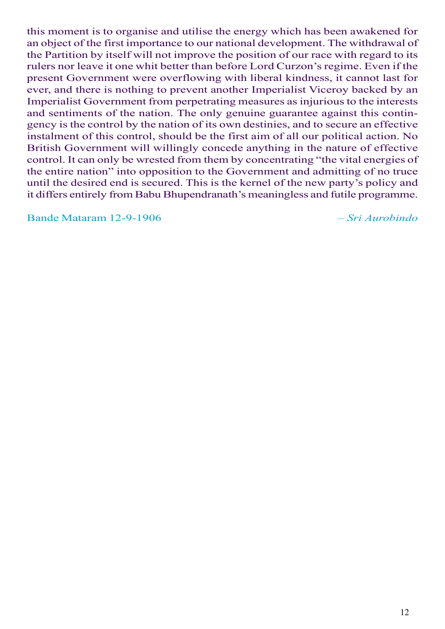this moment is to organise and utilise the energy which has been awakened for an object of the first importance to our national development. The withdrawal of the Partition by itself will not improve the position of our race with regard to its rulers nor leave it one whit better than before Lord Curzon's regime. Even if the present Government were overflowing with liberal kindness, it cannot last for ever, and there is nothing to prevent another Imperialist Viceroy backed by an Imperialist Government from perpetrating measures as injurious to the interests and sentiments of the nation. The only genuine guarantee against this contingency is the control by the nation of its own destinies, and to secure an effective instalment of this control, should be the first aim of all our political action. No British Government will willingly concede anything in the nature of effective control. It can only be wrested from them by concentrating "the vital energies of the entire nation" into opposition to the Government and admitting of no truce until the desired end is secured. This is the kernel of the new party's policy and it differs entirely from Babu Bhupendranath's meaningless and futile programme.

Bande Mataram 12-9-1906 – Sri Aurobindo